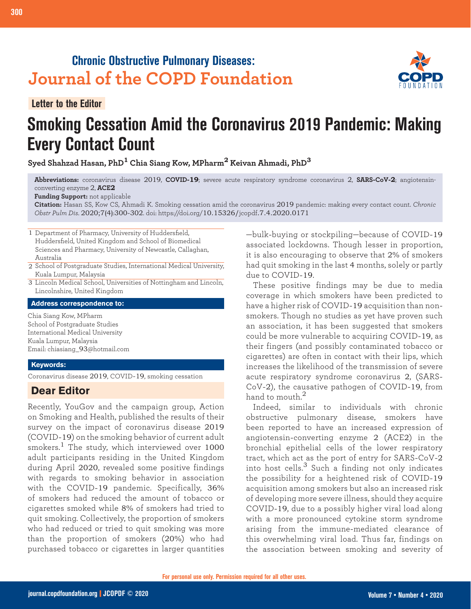# **Chronic Obstructive Pulmonary Diseases: Journal of the COPD Foundation**

**Letter to the Editor**

**300 Smoking Cessation Amid COVID-19 Pandemic**

# **Smoking Cessation Amid the Coronavirus 2019 Pandemic: Making Every Contact Count**

**Syed Shahzad Hasan, PhD1 Chia Siang Kow, MPharm2 Keivan Ahmadi, PhD<sup>3</sup>**

**Abbreviations:** coronavirus disease 2019, **COVID-19**; severe acute respiratory syndrome coronavirus 2, **SARS-CoV-2**; angiotensinconverting enzyme 2, **ACE2**

**Funding Support:** not applicable

**Citation:** Hasan SS, Kow CS, Ahmadi K. Smoking cessation amid the coronavirus 2019 pandemic: making every contact count. *Chronic Obstr Pulm Dis*. 2020;7(4):300-302. doi: https://doi.org/10.15326/jcopdf.7.4.2020.0171

1 Department of Pharmacy, University of Huddersfield, Huddersfield, United Kingdom and School of Biomedical Sciences and Pharmacy, University of Newcastle, Callaghan, Australia

- 2 School of Postgraduate Studies, International Medical University, Kuala Lumpur, Malaysia
- 3 Lincoln Medical School, Universities of Nottingham and Lincoln, Lincolnshire, United Kingdom

**Address correspondence to:**

Chia Siang Kow, MPharm School of Postgraduate Studies International Medical University Kuala Lumpur, Malaysia Email: chiasiang\_93@hotmail.com

#### **Keywords:**

Coronavirus disease 2019, COVID-19, smoking cessation

## **Dear Editor**

Recently, YouGov and the campaign group, Action on Smoking and Health, published the results of their survey on the impact of coronavirus disease 2019 (COVID-19) on the smoking behavior of current adult smokers.<sup>1</sup> The study, which interviewed over  $1000$ adult participants residing in the United Kingdom during April 2020, revealed some positive findings with regards to smoking behavior in association with the COVID-19 pandemic. Specifically, 36% of smokers had reduced the amount of tobacco or cigarettes smoked while 8% of smokers had tried to quit smoking. Collectively, the proportion of smokers who had reduced or tried to quit smoking was more than the proportion of smokers (20%) who had purchased tobacco or cigarettes in larger quantities

—bulk-buying or stockpiling—because of COVID-19 associated lockdowns. Though lesser in proportion, it is also encouraging to observe that 2% of smokers had quit smoking in the last 4 months, solely or partly due to COVID-19.

These positive findings may be due to media coverage in which smokers have been predicted to have a higher risk of COVID-19 acquisition than nonsmokers. Though no studies as yet have proven such an association, it has been suggested that smokers could be more vulnerable to acquiring COVID-19, as their fingers (and possibly contaminated tobacco or cigarettes) are often in contact with their lips, which increases the likelihood of the transmission of severe acute respiratory syndrome coronavirus 2, (SARS-CoV-2), the causative pathogen of COVID-19, from hand to mouth.<sup>2</sup>

Indeed, similar to individuals with chronic obstructive pulmonary disease, smokers have been reported to have an increased expression of angiotensin-converting enzyme 2 (ACE2) in the bronchial epithelial cells of the lower respiratory tract, which act as the port of entry for SARS-CoV-2 into host cells. $3$  Such a finding not only indicates the possibility for a heightened risk of COVID-19 acquisition among smokers but also an increased risk of developing more severe illness, should they acquire COVID-19, due to a possibly higher viral load along with a more pronounced cytokine storm syndrome arising from the immune-mediated clearance of this overwhelming viral load. Thus far, findings on the association between smoking and severity of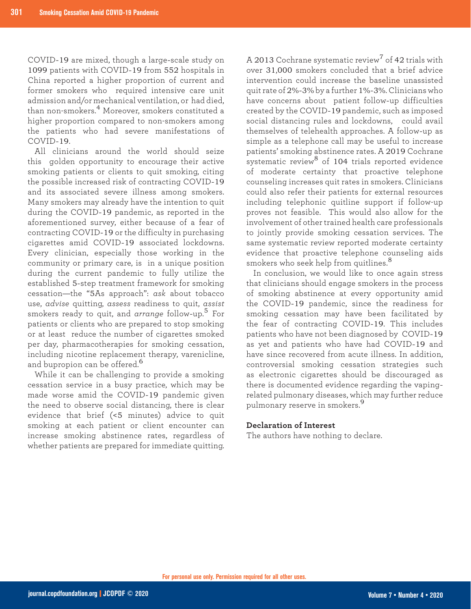COVID-19 are mixed, though a large-scale study on 1099 patients with COVID-19 from 552 hospitals in China reported a higher proportion of current and former smokers who required intensive care unit admission and/or mechanical ventilation, or had died, than non-smokers.4 Moreover, smokers constituted a higher proportion compared to non-smokers among the patients who had severe manifestations of COVID-19.

All clinicians around the world should seize this golden opportunity to encourage their active smoking patients or clients to quit smoking, citing the possible increased risk of contracting COVID-19 and its associated severe illness among smokers. Many smokers may already have the intention to quit during the COVID-19 pandemic, as reported in the aforementioned survey, either because of a fear of contracting COVID-19 or the difficulty in purchasing cigarettes amid COVID-19 associated lockdowns. Every clinician, especially those working in the community or primary care, is in a unique position during the current pandemic to fully utilize the established 5-step treatment framework for smoking cessation—the "5As approach": *ask* about tobacco use, *advise* quitting, *assess* readiness to quit, *assist* smokers ready to quit, and *arrange* follow-up.<sup>5</sup> For patients or clients who are prepared to stop smoking or at least reduce the number of cigarettes smoked per day, pharmacotherapies for smoking cessation, including nicotine replacement therapy, varenicline, and bupropion can be offered.<sup>6</sup>

While it can be challenging to provide a smoking cessation service in a busy practice, which may be made worse amid the COVID-19 pandemic given the need to observe social distancing, there is clear evidence that brief (<5 minutes) advice to quit smoking at each patient or client encounter can increase smoking abstinence rates, regardless of whether patients are prepared for immediate quitting. A 2013 Cochrane systematic review<sup>7</sup> of 42 trials with over 31,000 smokers concluded that a brief advice intervention could increase the baseline unassisted quit rate of 2%-3% by a further 1%-3%. Clinicians who have concerns about patient follow-up difficulties created by the COVID-19 pandemic, such as imposed social distancing rules and lockdowns, could avail themselves of telehealth approaches. A follow-up as simple as a telephone call may be useful to increase patients' smoking abstinence rates. A 2019 Cochrane systematic review<sup>8</sup> of 104 trials reported evidence of moderate certainty that proactive telephone counseling increases quit rates in smokers. Clinicians could also refer their patients for external resources including telephonic quitline support if follow-up proves not feasible. This would also allow for the involvement of other trained health care professionals to jointly provide smoking cessation services. The same systematic review reported moderate certainty evidence that proactive telephone counseling aids smokers who seek help from quitlines.<sup>8</sup>

In conclusion, we would like to once again stress that clinicians should engage smokers in the process of smoking abstinence at every opportunity amid the COVID-19 pandemic, since the readiness for smoking cessation may have been facilitated by the fear of contracting COVID-19. This includes patients who have not been diagnosed by COVID-19 as yet and patients who have had COVID-19 and have since recovered from acute illness. In addition, controversial smoking cessation strategies such as electronic cigarettes should be discouraged as there is documented evidence regarding the vapingrelated pulmonary diseases, which may further reduce pulmonary reserve in smokers.<sup>9</sup>

### **Declaration of Interest**

The authors have nothing to declare.